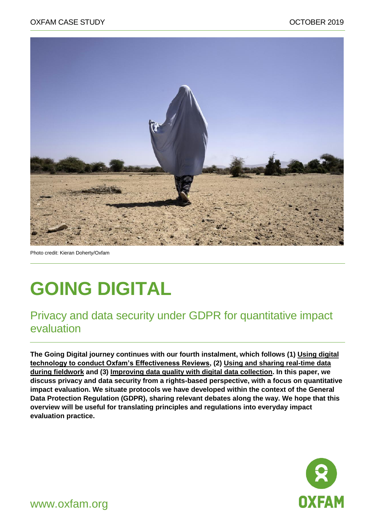

Photo credit: Kieran Doherty/Oxfam

# **GOING DIGITAL**

### Privacy and data security under GDPR for quantitative impact evaluation

**The Going Digital journey continues with our fourth instalment, which follows (1) [Using digital](https://policy-practice.oxfam.org.uk/publications/going-digital-using-digital-technology-to-conduct-oxfams-effectiveness-reviews-578816)  [technology to conduct Oxfam's Effectiveness Reviews,](https://policy-practice.oxfam.org.uk/publications/going-digital-using-digital-technology-to-conduct-oxfams-effectiveness-reviews-578816) (2) [Using and sharing real-time data](https://policy-practice.oxfam.org.uk/publications/going-digital-using-and-sharing-real-time-data-during-fieldwork-620432)  [during fieldwork](https://policy-practice.oxfam.org.uk/publications/going-digital-using-and-sharing-real-time-data-during-fieldwork-620432) and (3) [Improving data quality with digital data collection.](https://policy-practice.oxfam.org.uk/publications/going-digital-improving-data-quality-with-digital-data-collection-620522) In this paper, we discuss privacy and data security from a rights-based perspective, with a focus on quantitative impact evaluation. We situate protocols we have developed within the context of the General Data Protection Regulation (GDPR), sharing relevant debates along the way. We hope that this overview will be useful for translating principles and regulations into everyday impact evaluation practice.** 

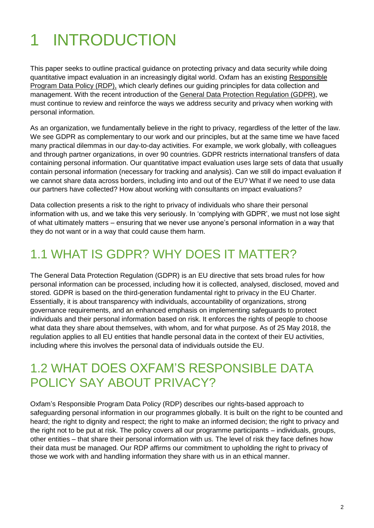# 1 INTRODUCTION

This paper seeks to outline practical guidance on protecting privacy and data security while doing quantitative impact evaluation in an increasingly digital world. Oxfam has an existing [Responsible](https://policy-practice.oxfam.org.uk/publications/oxfam-responsible-program-data-policy-575950)  [Program Data Policy \(RDP\),](https://policy-practice.oxfam.org.uk/publications/oxfam-responsible-program-data-policy-575950) which clearly defines our guiding principles for data collection and management. With the recent introduction of the [General Data Protection Regulation \(GDPR\),](https://ec.europa.eu/info/law/law-topic/data-protection_en) we must continue to review and reinforce the ways we address security and privacy when working with personal information.

As an organization, we fundamentally believe in the right to privacy, regardless of the letter of the law. We see GDPR as complementary to our work and our principles, but at the same time we have faced many practical dilemmas in our day-to-day activities. For example, we work globally, with colleagues and through partner organizations, in over 90 countries. GDPR restricts international transfers of data containing personal information. Our quantitative impact evaluation uses large sets of data that usually contain personal information (necessary for tracking and analysis). Can we still do impact evaluation if we cannot share data across borders, including into and out of the EU? What if we need to use data our partners have collected? How about working with consultants on impact evaluations?

Data collection presents a risk to the right to privacy of individuals who share their personal information with us, and we take this very seriously. In 'complying with GDPR', we must not lose sight of what ultimately matters – ensuring that we never use anyone's personal information in a way that they do not want or in a way that could cause them harm.

### 1.1 WHAT IS GDPR? WHY DOES IT MATTER?

The General Data Protection Regulation (GDPR) is an EU directive that sets broad rules for how personal information can be processed, including how it is collected, analysed, disclosed, moved and stored. GDPR is based on the third-generation fundamental right to privacy in the EU Charter. Essentially, it is about transparency with individuals, accountability of organizations, strong governance requirements, and an enhanced emphasis on implementing safeguards to protect individuals and their personal information based on risk. It enforces the rights of people to choose what data they share about themselves, with whom, and for what purpose. As of 25 May 2018, the regulation applies to all EU entities that handle personal data in the context of their EU activities, including where this involves the personal data of individuals outside the EU.

### 1.2 WHAT DOES OXFAM'S RESPONSIBLE DATA POLICY SAY ABOUT PRIVACY?

Oxfam's Responsible Program Data Policy (RDP) describes our rights-based approach to safeguarding personal information in our programmes globally. It is built on the right to be counted and heard; the right to dignity and respect; the right to make an informed decision; the right to privacy and the right not to be put at risk. The policy covers all our programme participants – individuals, groups, other entities – that share their personal information with us. The level of risk they face defines how their data must be managed. Our RDP affirms our commitment to upholding the right to privacy of those we work with and handling information they share with us in an ethical manner.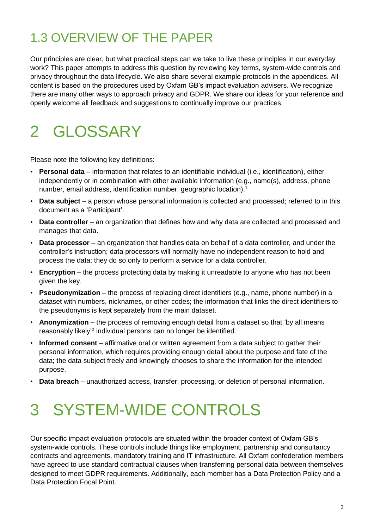## 1.3 OVERVIEW OF THE PAPER

Our principles are clear, but what practical steps can we take to live these principles in our everyday work? This paper attempts to address this question by reviewing key terms, system-wide controls and privacy throughout the data lifecycle. We also share several example protocols in the appendices. All content is based on the procedures used by Oxfam GB's impact evaluation advisers. We recognize there are many other ways to approach privacy and GDPR. We share our ideas for your reference and openly welcome all feedback and suggestions to continually improve our practices.

# 2 GLOSSARY

Please note the following key definitions:

- **Personal data** information that relates to an identifiable individual (i.e., identification), either independently or in combination with other available information (e.g., name(s), address, phone number, email address, identification number, geographic location). 1
- **Data subject** a person whose personal information is collected and processed; referred to in this document as a 'Participant'.
- **Data controller** an organization that defines how and why data are collected and processed and manages that data.
- **Data processor** an organization that handles data on behalf of a data controller, and under the controller's instruction; data processors will normally have no independent reason to hold and process the data; they do so only to perform a service for a data controller.
- **Encryption** the process protecting data by making it unreadable to anyone who has not been given the key.
- **Pseudonymization** the process of replacing direct identifiers (e.g., name, phone number) in a dataset with numbers, nicknames, or other codes; the information that links the direct identifiers to the pseudonyms is kept separately from the main dataset.
- **Anonymization** the process of removing enough detail from a dataset so that 'by all means reasonably likely<sup>'2</sup> individual persons can no longer be identified.
- **Informed consent** affirmative oral or written agreement from a data subject to gather their personal information, which requires providing enough detail about the purpose and fate of the data; the data subject freely and knowingly chooses to share the information for the intended purpose.
- **Data breach**  unauthorized access, transfer, processing, or deletion of personal information.

## 3 SYSTEM-WIDE CONTROLS

Our specific impact evaluation protocols are situated within the broader context of Oxfam GB's system-wide controls. These controls include things like employment, partnership and consultancy contracts and agreements, mandatory training and IT infrastructure. All Oxfam confederation members have agreed to use standard contractual clauses when transferring personal data between themselves designed to meet GDPR requirements. Additionally, each member has a Data Protection Policy and a Data Protection Focal Point.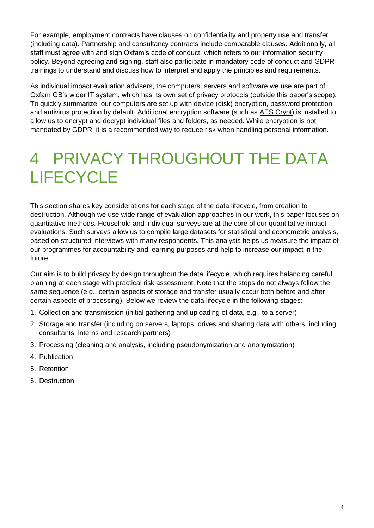For example, employment contracts have clauses on confidentiality and property use and transfer (including data). Partnership and consultancy contracts include comparable clauses. Additionally, all staff must agree with and sign Oxfam's code of conduct, which refers to our information security policy. Beyond agreeing and signing, staff also participate in mandatory code of conduct and GDPR trainings to understand and discuss how to interpret and apply the principles and requirements.

As individual impact evaluation advisers, the computers, servers and software we use are part of Oxfam GB's wider IT system, which has its own set of privacy protocols (outside this paper's scope). To quickly summarize, our computers are set up with device (disk) encryption, password protection and antivirus protection by default. Additional encryption software (such as [AES Crypt\)](https://www.aescrypt.com/) is installed to allow us to encrypt and decrypt individual files and folders, as needed. While encryption is not mandated by GDPR, it is a recommended way to reduce risk when handling personal information.

## 4 PRIVACY THROUGHOUT THE DATA **LIFECYCLE**

This section shares key considerations for each stage of the data lifecycle, from creation to destruction. Although we use wide range of evaluation approaches in our work, this paper focuses on quantitative methods. Household and individual surveys are at the core of our quantitative impact evaluations. Such surveys allow us to compile large datasets for statistical and econometric analysis, based on structured interviews with many respondents. This analysis helps us measure the impact of our programmes for accountability and learning purposes and help to increase our impact in the future.

Our aim is to build privacy by design throughout the data lifecycle, which requires balancing careful planning at each stage with practical risk assessment. Note that the steps do not always follow the same sequence (e.g., certain aspects of storage and transfer usually occur both before and after certain aspects of processing). Below we review the data lifecycle in the following stages:

- 1. Collection and transmission (initial gathering and uploading of data, e.g., to a server)
- 2. Storage and transfer (including on servers, laptops, drives and sharing data with others, including consultants, interns and research partners)
- 3. Processing (cleaning and analysis, including pseudonymization and anonymization)
- 4. Publication
- 5. Retention
- 6. Destruction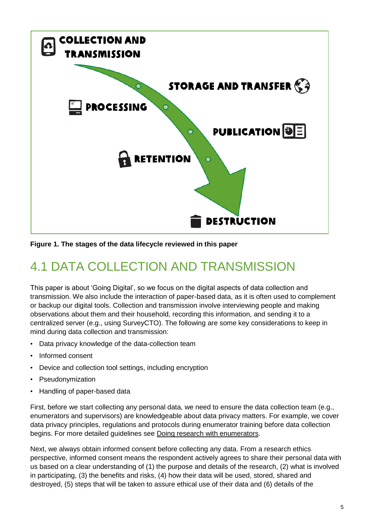

**Figure 1. The stages of the data lifecycle reviewed in this paper** 

### 4.1 DATA COLLECTION AND TRANSMISSION

This paper is about 'Going Digital', so we focus on the digital aspects of data collection and transmission. We also include the interaction of paper-based data, as it is often used to complement or backup our digital tools. Collection and transmission involve interviewing people and making observations about them and their household, recording this information, and sending it to a centralized server (e.g., using SurveyCTO). The following are some key considerations to keep in mind during data collection and transmission:

- Data privacy knowledge of the data-collection team
- Informed consent
- Device and collection tool settings, including encryption
- **Pseudonymization**
- Handling of paper-based data

First, before we start collecting any personal data, we need to ensure the data collection team (e.g., enumerators and supervisors) are knowledgeable about data privacy matters. For example, we cover data privacy principles, regulations and protocols during enumerator training before data collection begins. For more detailed guidelines see [Doing research with enumerators.](https://policy-practice.oxfam.org.uk/publications/doing-research-with-enumerators-620574)

Next, we always obtain informed consent before collecting any data. From a research ethics perspective, informed consent means the respondent actively agrees to share their personal data with us based on a clear understanding of (1) the purpose and details of the research, (2) what is involved in participating, (3) the benefits and risks, (4) how their data will be used, stored, shared and destroyed, (5) steps that will be taken to assure ethical use of their data and (6) details of the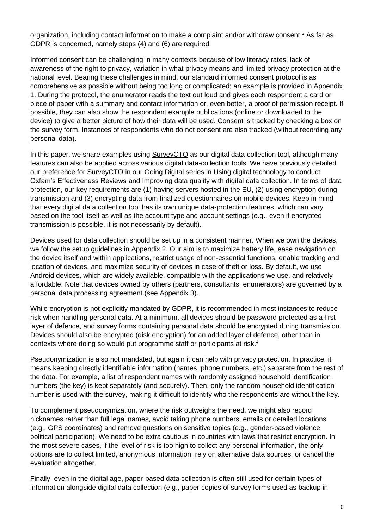organization, including contact information to make a complaint and/or withdraw consent.<sup>3</sup> As far as GDPR is concerned, namely steps (4) and (6) are required.

Informed consent can be challenging in many contexts because of low literacy rates, lack of awareness of the right to privacy, variation in what privacy means and limited privacy protection at the national level. Bearing these challenges in mind, our standard informed consent protocol is as comprehensive as possible without being too long or complicated; an example is provided in Appendix 1. During the protocol, the enumerator reads the text out loud and gives each respondent a card or piece of paper with a summary and contact information or, even better, [a proof of permission receipt.](https://www.elrha.org/project-blog/early-stage-prototyping-consent-and-data-minimisation-for-those-affected/) If possible, they can also show the respondent example publications (online or downloaded to the device) to give a better picture of how their data will be used. Consent is tracked by checking a box on the survey form. Instances of respondents who do not consent are also tracked (without recording any personal data).

In this paper, we share examples using [SurveyCTO](https://www.surveycto.com/) as our digital data-collection tool, although many features can also be applied across various digital data-collection tools. We have previously detailed our preference for SurveyCTO in our Going Digital series in Using digital technology to conduct Oxfam's Effectiveness Reviews and Improving data quality with digital data collection. In terms of data protection, our key requirements are (1) having servers hosted in the EU, (2) using encryption during transmission and (3) encrypting data from finalized questionnaires on mobile devices. Keep in mind that every digital data collection tool has its own unique data-protection features, which can vary based on the tool itself as well as the account type and account settings (e.g., even if encrypted transmission is possible, it is not necessarily by default).

Devices used for data collection should be set up in a consistent manner. When we own the devices, we follow the setup guidelines in Appendix 2. Our aim is to maximize battery life, ease navigation on the device itself and within applications, restrict usage of non-essential functions, enable tracking and location of devices, and maximize security of devices in case of theft or loss. By default, we use Android devices, which are widely available, compatible with the applications we use, and relatively affordable. Note that devices owned by others (partners, consultants, enumerators) are governed by a personal data processing agreement (see Appendix 3).

While encryption is not explicitly mandated by GDPR, it is recommended in most instances to reduce risk when handling personal data. At a minimum, all devices should be password protected as a first layer of defence, and survey forms containing personal data should be encrypted during transmission. Devices should also be encrypted (disk encryption) for an added layer of defence, other than in contexts where doing so would put programme staff or participants at risk.<sup>4</sup>

Pseudonymization is also not mandated, but again it can help with privacy protection. In practice, it means keeping directly identifiable information (names, phone numbers, etc.) separate from the rest of the data. For example, a list of respondent names with randomly assigned household identification numbers (the key) is kept separately (and securely). Then, only the random household identification number is used with the survey, making it difficult to identify who the respondents are without the key.

To complement pseudonymization, where the risk outweighs the need, we might also record nicknames rather than full legal names, avoid taking phone numbers, emails or detailed locations (e.g., GPS coordinates) and remove questions on sensitive topics (e.g., gender-based violence, political participation). We need to be extra cautious in countries with laws that restrict encryption. In the most severe cases, if the level of risk is too high to collect any personal information, the only options are to collect limited, anonymous information, rely on alternative data sources, or cancel the evaluation altogether.

Finally, even in the digital age, paper-based data collection is often still used for certain types of information alongside digital data collection (e.g., paper copies of survey forms used as backup in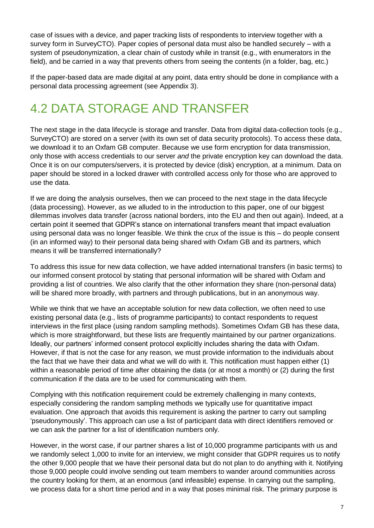case of issues with a device, and paper tracking lists of respondents to interview together with a survey form in SurveyCTO). Paper copies of personal data must also be handled securely – with a system of pseudonymization, a clear chain of custody while in transit (e.g., with enumerators in the field), and be carried in a way that prevents others from seeing the contents (in a folder, bag, etc.)

If the paper-based data are made digital at any point, data entry should be done in compliance with a personal data processing agreement (see Appendix 3).

## 4.2 DATA STORAGE AND TRANSFER

The next stage in the data lifecycle is storage and transfer. Data from digital data-collection tools (e.g., SurveyCTO) are stored on a server (with its own set of data security protocols). To access these data, we download it to an Oxfam GB computer. Because we use form encryption for data transmission, only those with access credentials to our server *and* the private encryption key can download the data. Once it is on our computers/servers, it is protected by device (disk) encryption, at a minimum. Data on paper should be stored in a locked drawer with controlled access only for those who are approved to use the data.

If we are doing the analysis ourselves, then we can proceed to the next stage in the data lifecycle (data processing). However, as we alluded to in the introduction to this paper, one of our biggest dilemmas involves data transfer (across national borders, into the EU and then out again). Indeed, at a certain point it seemed that GDPR's stance on international transfers meant that impact evaluation using personal data was no longer feasible. We think the crux of the issue is this – do people consent (in an informed way) to their personal data being shared with Oxfam GB and its partners, which means it will be transferred internationally?

To address this issue for new data collection, we have added international transfers (in basic terms) to our informed consent protocol by stating that personal information will be shared with Oxfam and providing a list of countries. We also clarify that the other information they share (non-personal data) will be shared more broadly, with partners and through publications, but in an anonymous way.

While we think that we have an acceptable solution for new data collection, we often need to use existing personal data (e.g., lists of programme participants) to contact respondents to request interviews in the first place (using random sampling methods). Sometimes Oxfam GB has these data, which is more straightforward, but these lists are frequently maintained by our partner organizations. Ideally, our partners' informed consent protocol explicitly includes sharing the data with Oxfam. However, if that is not the case for any reason, we must provide information to the individuals about the fact that we have their data and what we will do with it. This notification must happen either (1) within a reasonable period of time after obtaining the data (or at most a month) or (2) during the first communication if the data are to be used for communicating with them.

Complying with this notification requirement could be extremely challenging in many contexts, especially considering the random sampling methods we typically use for quantitative impact evaluation. One approach that avoids this requirement is asking the partner to carry out sampling 'pseudonymously'. This approach can use a list of participant data with direct identifiers removed or we can ask the partner for a list of identification numbers only.

However, in the worst case, if our partner shares a list of 10,000 programme participants with us and we randomly select 1,000 to invite for an interview, we might consider that GDPR requires us to notify the other 9,000 people that we have their personal data but do not plan to do anything with it. Notifying those 9,000 people could involve sending out team members to wander around communities across the country looking for them, at an enormous (and infeasible) expense. In carrying out the sampling, we process data for a short time period and in a way that poses minimal risk. The primary purpose is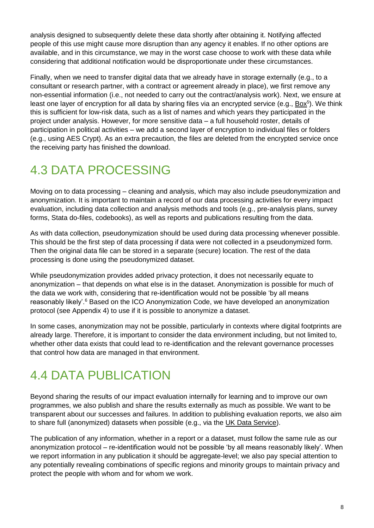analysis designed to subsequently delete these data shortly after obtaining it. Notifying affected people of this use might cause more disruption than any agency it enables. If no other options are available, and in this circumstance, we may in the worst case choose to work with these data while considering that additional notification would be disproportionate under these circumstances.

Finally, when we need to transfer digital data that we already have in storage externally (e.g., to a consultant or research partner, with a contract or agreement already in place), we first remove any non-essential information (i.e., not needed to carry out the contract/analysis work). Next, we ensure at least one layer of encryption for all data by sharing files via an encrypted service (e.g.,  $\underline{Box}^{5}$ ). We think this is sufficient for low-risk data, such as a list of names and which years they participated in the project under analysis. However, for more sensitive data – a full household roster, details of participation in political activities – we add a second layer of encryption to individual files or folders (e.g., using AES Crypt). As an extra precaution, the files are deleted from the encrypted service once the receiving party has finished the download.

### 4.3 DATA PROCESSING

Moving on to data processing – cleaning and analysis, which may also include pseudonymization and anonymization. It is important to maintain a record of our data processing activities for every impact evaluation, including data collection and analysis methods and tools (e.g., pre-analysis plans, survey forms, Stata do-files, codebooks), as well as reports and publications resulting from the data.

As with data collection, pseudonymization should be used during data processing whenever possible. This should be the first step of data processing if data were not collected in a pseudonymized form. Then the original data file can be stored in a separate (secure) location. The rest of the data processing is done using the pseudonymized dataset.

While pseudonymization provides added privacy protection, it does not necessarily equate to anonymization – that depends on what else is in the dataset. Anonymization is possible for much of the data we work with, considering that re-identification would not be possible 'by all means reasonably likely'.<sup>6</sup> Based on the ICO Anonymization Code, we have developed an anonymization protocol (see Appendix 4) to use if it is possible to anonymize a dataset.

In some cases, anonymization may not be possible, particularly in contexts where digital footprints are already large. Therefore, it is important to consider the data environment including, but not limited to, whether other data exists that could lead to re-identification and the relevant governance processes that control how data are managed in that environment.

## 4.4 DATA PUBLICATION

Beyond sharing the results of our impact evaluation internally for learning and to improve our own programmes, we also publish and share the results externally as much as possible. We want to be transparent about our successes and failures. In addition to publishing evaluation reports, we also aim to share full (anonymized) datasets when possible (e.g., via the [UK Data Service\)](https://www.ukdataservice.ac.uk/).

The publication of any information, whether in a report or a dataset, must follow the same rule as our anonymization protocol – re-identification would not be possible 'by all means reasonably likely'. When we report information in any publication it should be aggregate-level; we also pay special attention to any potentially revealing combinations of specific regions and minority groups to maintain privacy and protect the people with whom and for whom we work.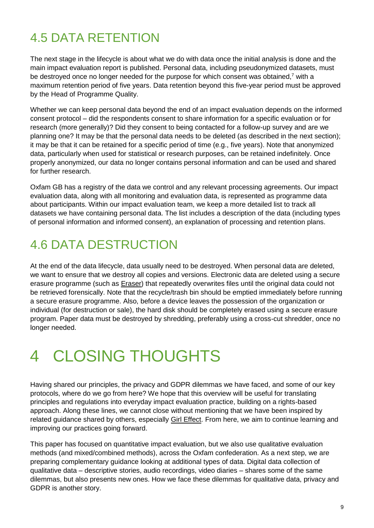### 4.5 DATA RETENTION

The next stage in the lifecycle is about what we do with data once the initial analysis is done and the main impact evaluation report is published. Personal data, including pseudonymized datasets, must be destroyed once no longer needed for the purpose for which consent was obtained,<sup>7</sup> with a maximum retention period of five years. Data retention beyond this five-year period must be approved by the Head of Programme Quality.

Whether we can keep personal data beyond the end of an impact evaluation depends on the informed consent protocol – did the respondents consent to share information for a specific evaluation or for research (more generally)? Did they consent to being contacted for a follow-up survey and are we planning one? It may be that the personal data needs to be deleted (as described in the next section); it may be that it can be retained for a specific period of time (e.g., five years). Note that anonymized data, particularly when used for statistical or research purposes, can be retained indefinitely. Once properly anonymized, our data no longer contains personal information and can be used and shared for further research.

Oxfam GB has a registry of the data we control and any relevant processing agreements. Our impact evaluation data, along with all monitoring and evaluation data, is represented as programme data about participants. Within our impact evaluation team, we keep a more detailed list to track all datasets we have containing personal data. The list includes a description of the data (including types of personal information and informed consent), an explanation of processing and retention plans.

### 4.6 DATA DESTRUCTION

At the end of the data lifecycle, data usually need to be destroyed. When personal data are deleted, we want to ensure that we destroy all copies and versions. Electronic data are deleted using a secure erasure programme (such as **Eraser)** that repeatedly overwrites files until the original data could not be retrieved forensically. Note that the recycle/trash bin should be emptied immediately before running a secure erasure programme. Also, before a device leaves the possession of the organization or individual (for destruction or sale), the hard disk should be completely erased using a secure erasure program. Paper data must be destroyed by shredding, preferably using a cross-cut shredder, once no longer needed.

# 4 CLOSING THOUGHTS

Having shared our principles, the privacy and GDPR dilemmas we have faced, and some of our key protocols, where do we go from here? We hope that this overview will be useful for translating principles and regulations into everyday impact evaluation practice, building on a rights-based approach. Along these lines, we cannot close without mentioning that we have been inspired by related guidance shared by others, especially [Girl Effect.](https://www.girleffect.org/stories/digital-safeguarding/) From here, we aim to continue learning and improving our practices going forward.

This paper has focused on quantitative impact evaluation, but we also use qualitative evaluation methods (and mixed/combined methods), across the Oxfam confederation. As a next step, we are preparing complementary guidance looking at additional types of data. Digital data collection of qualitative data – descriptive stories, audio recordings, video diaries – shares some of the same dilemmas, but also presents new ones. How we face these dilemmas for qualitative data, privacy and GDPR is another story.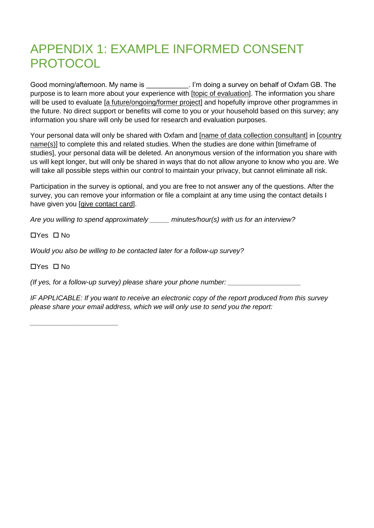### APPENDIX 1: EXAMPLE INFORMED CONSENT PROTOCOL

Good morning/afternoon. My name is **Example 20** I'm doing a survey on behalf of Oxfam GB. The purpose is to learn more about your experience with [topic of evaluation]. The information you share will be used to evaluate [a future/ongoing/former project] and hopefully improve other programmes in the future. No direct support or benefits will come to you or your household based on this survey; any information you share will only be used for research and evaluation purposes.

Your personal data will only be shared with Oxfam and Iname of data collection consultantl in Icountry name(s)] to complete this and related studies. When the studies are done within [timeframe of studies], your personal data will be deleted. An anonymous version of the information you share with us will kept longer, but will only be shared in ways that do not allow anyone to know who you are. We will take all possible steps within our control to maintain your privacy, but cannot eliminate all risk.

Participation in the survey is optional, and you are free to not answer any of the questions. After the survey, you can remove your information or file a complaint at any time using the contact details I have given you [give contact card].

*Are you willing to spend approximately \_\_\_\_\_ minutes/hour(s) with us for an interview?* 

 $\Box$ Yes  $\Box$  No

*Would you also be willing to be contacted later for a follow-up survey?* 

 $\Box$ Yes  $\Box$  No

*\_\_\_\_\_\_\_\_\_\_\_\_\_\_\_\_\_\_\_\_\_\_\_*

*(If yes, for a follow-up survey) please share your phone number:* 

*IF APPLICABLE: If you want to receive an electronic copy of the report produced from this survey please share your email address, which we will only use to send you the report:*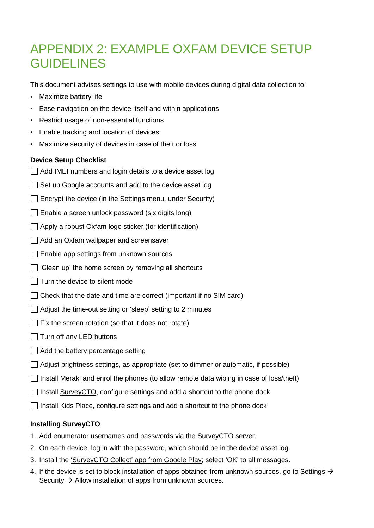### APPENDIX 2: EXAMPLE OXFAM DEVICE SETUP GUIDELINES

This document advises settings to use with mobile devices during digital data collection to:

- Maximize battery life
- Ease navigation on the device itself and within applications
- Restrict usage of non-essential functions
- Enable tracking and location of devices
- Maximize security of devices in case of theft or loss

#### **Device Setup Checklist**

- Add IMEI numbers and login details to a device asset log
- $\Box$  Set up Google accounts and add to the device asset log
- $\Box$  Encrypt the device (in the Settings menu, under Security)
- $\Box$  Enable a screen unlock password (six digits long)
- Apply a robust Oxfam logo sticker (for identification)
- Add an Oxfam wallpaper and screensaver
- □ Enable app settings from unknown sources
- $\Box$  'Clean up' the home screen by removing all shortcuts
- $\Box$  Turn the device to silent mode
- $\Box$  Check that the date and time are correct (important if no SIM card)
- Adjust the time-out setting or 'sleep' setting to 2 minutes
- $\Box$  Fix the screen rotation (so that it does not rotate)
- $\Box$  Turn off any LED buttons
- $\Box$  Add the battery percentage setting
- Adjust brightness settings, as appropriate (set to dimmer or automatic, if possible)
- Install [Meraki](https://play.google.com/store/apps/details?id=com.meraki.Dashboard&hl=en) and enrol the phones (to allow remote data wiping in case of loss/theft)
- $\Box$  Install [SurveyCTO,](https://play.google.com/store/apps/details?id=com.surveycto.collect.android) configure settings and add a shortcut to the phone dock
- $\Box$  Install [Kids Place,](https://play.google.com/store/apps/details?id=com.kiddoware.kidsplace&hl=en) configure settings and add a shortcut to the phone dock

#### **Installing SurveyCTO**

- 1. Add enumerator usernames and passwords via the SurveyCTO server.
- 2. On each device, log in with the password, which should be in the device asset log.
- 3. Install the 'SurveyCTO Collect' [app from Google Play;](https://play.google.com/store/apps/details?id=com.surveycto.collect.android) select 'OK' to all messages.
- 4. If the device is set to block installation of apps obtained from unknown sources, go to Settings  $\rightarrow$ Security → Allow installation of apps from unknown sources.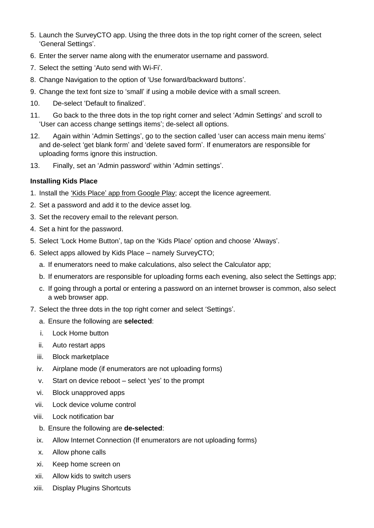- 5. Launch the SurveyCTO app. Using the three dots in the top right corner of the screen, select 'General Settings'.
- 6. Enter the server name along with the enumerator username and password.
- 7. Select the setting 'Auto send with Wi-Fi'.
- 8. Change Navigation to the option of 'Use forward/backward buttons'.
- 9. Change the text font size to 'small' if using a mobile device with a small screen.
- 10. De-select 'Default to finalized'.
- 11. Go back to the three dots in the top right corner and select 'Admin Settings' and scroll to 'User can access change settings items'; de-select all options.
- 12. Again within 'Admin Settings', go to the section called 'user can access main menu items' and de-select 'get blank form' and 'delete saved form'. If enumerators are responsible for uploading forms ignore this instruction.
- 13. Finally, set an 'Admin password' within 'Admin settings'.

#### **Installing Kids Place**

- 1. Install the 'Kids Place' [app from Google Play;](https://play.google.com/store/apps/details?id=com.kiddoware.kidsplace&hl=en) accept the licence agreement.
- 2. Set a password and add it to the device asset log.
- 3. Set the recovery email to the relevant person.
- 4. Set a hint for the password.
- 5. Select 'Lock Home Button', tap on the 'Kids Place' option and choose 'Always'.
- 6. Select apps allowed by Kids Place namely SurveyCTO;
	- a. If enumerators need to make calculations, also select the Calculator app;
	- b. If enumerators are responsible for uploading forms each evening, also select the Settings app;
	- c. If going through a portal or entering a password on an internet browser is common, also select a web browser app.
- 7. Select the three dots in the top right corner and select 'Settings'.
	- a. Ensure the following are **selected**:
	- i. Lock Home button
	- ii. Auto restart apps
	- iii. Block marketplace
	- iv. Airplane mode (if enumerators are not uploading forms)
	- v. Start on device reboot select 'yes' to the prompt
	- vi. Block unapproved apps
	- vii. Lock device volume control
	- viii. Lock notification bar
		- b. Ensure the following are **de-selected**:
	- ix. Allow Internet Connection (If enumerators are not uploading forms)
	- x. Allow phone calls
	- xi. Keep home screen on
	- xii. Allow kids to switch users
	- xiii. Display Plugins Shortcuts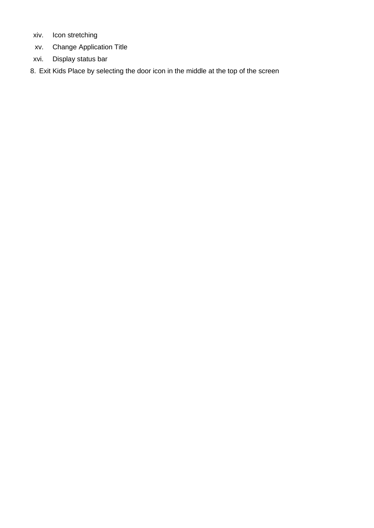- xiv. Icon stretching
- xv. Change Application Title
- xvi. Display status bar
- 8. Exit Kids Place by selecting the door icon in the middle at the top of the screen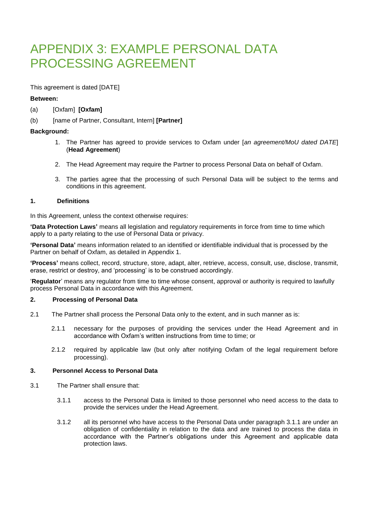### APPENDIX 3: EXAMPLE PERSONAL DATA PROCESSING AGREEMENT

This agreement is dated [DATE]

#### **Between:**

- (a) [Oxfam] **[Oxfam]**
- (b) [name of Partner, Consultant, Intern] **[Partner]**

#### **Background:**

- 1. The Partner has agreed to provide services to Oxfam under [*an agreement/MoU dated DATE*] (**Head Agreement**)
- 2. The Head Agreement may require the Partner to process Personal Data on behalf of Oxfam.
- 3. The parties agree that the processing of such Personal Data will be subject to the terms and conditions in this agreement.

#### **1. Definitions**

In this Agreement, unless the context otherwise requires:

**'Data Protection Laws'** means all legislation and regulatory requirements in force from time to time which apply to a party relating to the use of Personal Data or privacy.

**'Personal Data'** means information related to an identified or identifiable individual that is processed by the Partner on behalf of Oxfam, as detailed in Appendix 1.

**'Process'** means collect, record, structure, store, adapt, alter, retrieve, access, consult, use, disclose, transmit, erase, restrict or destroy, and 'processing' is to be construed accordingly.

'**Regulator**' means any regulator from time to time whose consent, approval or authority is required to lawfully process Personal Data in accordance with this Agreement.

#### **2. Processing of Personal Data**

- 2.1 The Partner shall process the Personal Data only to the extent, and in such manner as is:
	- 2.1.1 necessary for the purposes of providing the services under the Head Agreement and in accordance with Oxfam's written instructions from time to time; or
	- 2.1.2 required by applicable law (but only after notifying Oxfam of the legal requirement before processing).

#### **3. Personnel Access to Personal Data**

- 3.1 The Partner shall ensure that:
	- 3.1.1 access to the Personal Data is limited to those personnel who need access to the data to provide the services under the Head Agreement.
	- 3.1.2 all its personnel who have access to the Personal Data under paragraph 3.1.1 are under an obligation of confidentiality in relation to the data and are trained to process the data in accordance with the Partner's obligations under this Agreement and applicable data protection laws.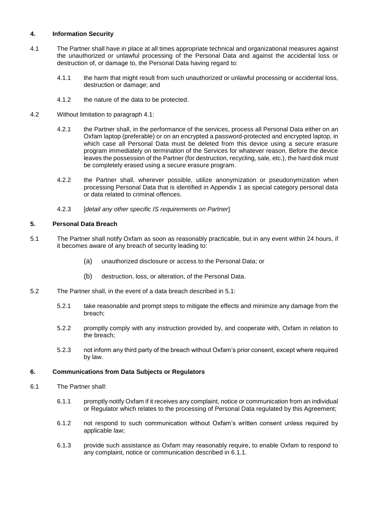#### **4. Information Security**

- 4.1 The Partner shall have in place at all times appropriate technical and organizational measures against the unauthorized or unlawful processing of the Personal Data and against the accidental loss or destruction of, or damage to, the Personal Data having regard to:
	- 4.1.1 the harm that might result from such unauthorized or unlawful processing or accidental loss, destruction or damage; and
	- 4.1.2 the nature of the data to be protected.
- 4.2 Without limitation to paragraph 4.1:
	- 4.2.1 the Partner shall, in the performance of the services, process all Personal Data either on an Oxfam laptop (preferable) or on an encrypted a password-protected and encrypted laptop, in which case all Personal Data must be deleted from this device using a secure erasure program immediately on termination of the Services for whatever reason. Before the device leaves the possession of the Partner (for destruction, recycling, sale, etc.), the hard disk must be completely erased using a secure erasure program.
	- 4.2.2 the Partner shall, wherever possible, utilize anonymization or pseudonymization when processing Personal Data that is identified in Appendix 1 as special category personal data or data related to criminal offences.
	- 4.2.3 [*detail any other specific IS requirements on Partner*]

#### **5. Personal Data Breach**

- 5.1 The Partner shall notify Oxfam as soon as reasonably practicable, but in any event within 24 hours, if it becomes aware of any breach of security leading to:
	- (a) unauthorized disclosure or access to the Personal Data; or
	- (b) destruction, loss, or alteration, of the Personal Data.
- 5.2 The Partner shall, in the event of a data breach described in 5.1:
	- 5.2.1 take reasonable and prompt steps to mitigate the effects and minimize any damage from the breach;
	- 5.2.2 promptly comply with any instruction provided by, and cooperate with, Oxfam in relation to the breach;
	- 5.2.3 not inform any third party of the breach without Oxfam's prior consent, except where required by law.

#### **6. Communications from Data Subjects or Regulators**

- 6.1 The Partner shall:
	- 6.1.1 promptly notify Oxfam if it receives any complaint, notice or communication from an individual or Regulator which relates to the processing of Personal Data regulated by this Agreement;
	- 6.1.2 not respond to such communication without Oxfam's written consent unless required by applicable law;
	- 6.1.3 provide such assistance as Oxfam may reasonably require, to enable Oxfam to respond to any complaint, notice or communication described in 6.1.1.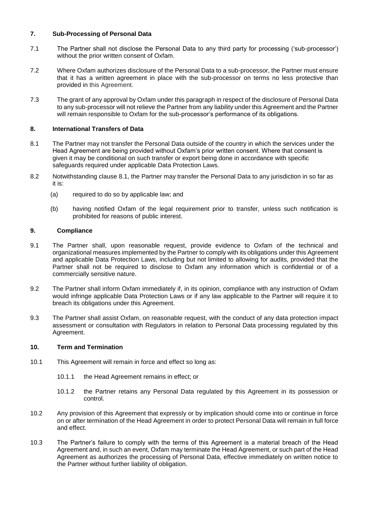#### **7. Sub-Processing of Personal Data**

- 7.1 The Partner shall not disclose the Personal Data to any third party for processing ('sub-processor') without the prior written consent of Oxfam.
- 7.2 Where Oxfam authorizes disclosure of the Personal Data to a sub-processor, the Partner must ensure that it has a written agreement in place with the sub-processor on terms no less protective than provided in this Agreement.
- 7.3 The grant of any approval by Oxfam under this paragraph in respect of the disclosure of Personal Data to any sub-processor will not relieve the Partner from any liability under this Agreement and the Partner will remain responsible to Oxfam for the sub-processor's performance of its obligations.

#### **8. International Transfers of Data**

- 8.1 The Partner may not transfer the Personal Data outside of the country in which the services under the Head Agreement are being provided without Oxfam's prior written consent. Where that consent is given it may be conditional on such transfer or export being done in accordance with specific safeguards required under applicable Data Protection Laws.
- 8.2 Notwithstanding clause 8.1, the Partner may transfer the Personal Data to any jurisdiction in so far as it is:
	- (a) required to do so by applicable law; and
	- (b) having notified Oxfam of the legal requirement prior to transfer, unless such notification is prohibited for reasons of public interest.

#### **9. Compliance**

- 9.1 The Partner shall, upon reasonable request, provide evidence to Oxfam of the technical and organizational measures implemented by the Partner to comply with its obligations under this Agreement and applicable Data Protection Laws, including but not limited to allowing for audits, provided that the Partner shall not be required to disclose to Oxfam any information which is confidential or of a commercially sensitive nature.
- 9.2 The Partner shall inform Oxfam immediately if, in its opinion, compliance with any instruction of Oxfam would infringe applicable Data Protection Laws or if any law applicable to the Partner will require it to breach its obligations under this Agreement.
- 9.3 The Partner shall assist Oxfam, on reasonable request, with the conduct of any data protection impact assessment or consultation with Regulators in relation to Personal Data processing regulated by this Agreement.

#### **10. Term and Termination**

- 10.1 This Agreement will remain in force and effect so long as:
	- 10.1.1 the Head Agreement remains in effect; or
	- 10.1.2 the Partner retains any Personal Data regulated by this Agreement in its possession or control.
- 10.2 Any provision of this Agreement that expressly or by implication should come into or continue in force on or after termination of the Head Agreement in order to protect Personal Data will remain in full force and effect.
- 10.3 The Partner's failure to comply with the terms of this Agreement is a material breach of the Head Agreement and, in such an event, Oxfam may terminate the Head Agreement, or such part of the Head Agreement as authorizes the processing of Personal Data, effective immediately on written notice to the Partner without further liability of obligation.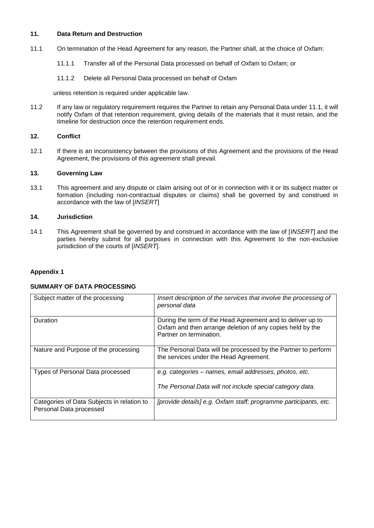#### **11. Data Return and Destruction**

- 11.1 On termination of the Head Agreement for any reason, the Partner shall, at the choice of Oxfam:
	- 11.1.1 Transfer all of the Personal Data processed on behalf of Oxfam to Oxfam; or
	- 11.1.2 Delete all Personal Data processed on behalf of Oxfam

unless retention is required under applicable law.

11.2 If any law or regulatory requirement requires the Partner to retain any Personal Data under 11.1, it will notify Oxfam of that retention requirement, giving details of the materials that it must retain, and the timeline for destruction once the retention requirement ends.

#### **12. Conflict**

12.1 If there is an inconsistency between the provisions of this Agreement and the provisions of the Head Agreement, the provisions of this agreement shall prevail.

#### **13. Governing Law**

13.1 This agreement and any dispute or claim arising out of or in connection with it or its subject matter or formation (including non-contractual disputes or claims) shall be governed by and construed in accordance with the law of [*INSERT*]

#### **14. Jurisdiction**

14.1 This Agreement shall be governed by and construed in accordance with the law of [*INSERT*] and the parties hereby submit for all purposes in connection with this Agreement to the non-exclusive jurisdiction of the courts of [*INSERT*].

#### **Appendix 1**

#### **SUMMARY OF DATA PROCESSING**

| Subject matter of the processing                                      | Insert description of the services that involve the processing of<br>personal data                                                                 |
|-----------------------------------------------------------------------|----------------------------------------------------------------------------------------------------------------------------------------------------|
| <b>Duration</b>                                                       | During the term of the Head Agreement and to deliver up to<br>Oxfam and then arrange deletion of any copies held by the<br>Partner on termination. |
| Nature and Purpose of the processing                                  | The Personal Data will be processed by the Partner to perform<br>the services under the Head Agreement.                                            |
| Types of Personal Data processed                                      | e.g. categories – names, email addresses, photos, etc.<br>The Personal Data will not include special category data.                                |
| Categories of Data Subjects in relation to<br>Personal Data processed | [provide details] e.g. Oxfam staff; programme participants, etc.                                                                                   |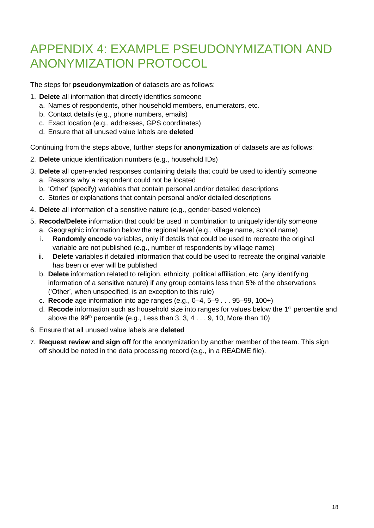### APPENDIX 4: EXAMPLE PSEUDONYMIZATION AND ANONYMIZATION PROTOCOL

The steps for **pseudonymization** of datasets are as follows:

- 1. **Delete** all information that directly identifies someone
	- a. Names of respondents, other household members, enumerators, etc.
	- b. Contact details (e.g., phone numbers, emails)
	- c. Exact location (e.g., addresses, GPS coordinates)
	- d. Ensure that all unused value labels are **deleted**

Continuing from the steps above, further steps for **anonymization** of datasets are as follows:

- 2. **Delete** unique identification numbers (e.g., household IDs)
- 3. **Delete** all open-ended responses containing details that could be used to identify someone
	- a. Reasons why a respondent could not be located
	- b. 'Other' (specify) variables that contain personal and/or detailed descriptions
	- c. Stories or explanations that contain personal and/or detailed descriptions
- 4. **Delete** all information of a sensitive nature (e.g., gender-based violence)
- 5. **Recode/Delete** information that could be used in combination to uniquely identify someone
	- a. Geographic information below the regional level (e.g., village name, school name)
	- i. **Randomly encode** variables, only if details that could be used to recreate the original variable are not published (e.g., number of respondents by village name)
	- ii. **Delete** variables if detailed information that could be used to recreate the original variable has been or ever will be published
	- b. **Delete** information related to religion, ethnicity, political affiliation, etc. (any identifying information of a sensitive nature) if any group contains less than 5% of the observations ('Other', when unspecified, is an exception to this rule)
	- c. **Recode** age information into age ranges (e.g., 0–4, 5–9 . . . 95–99, 100+)
	- d. **Recode** information such as household size into ranges for values below the 1<sup>st</sup> percentile and above the 99<sup>th</sup> percentile (e.g., Less than 3, 3, 4  $\dots$  9, 10, More than 10)
- 6. Ensure that all unused value labels are **deleted**
- 7. **Request review and sign off** for the anonymization by another member of the team. This sign off should be noted in the data processing record (e.g., in a README file).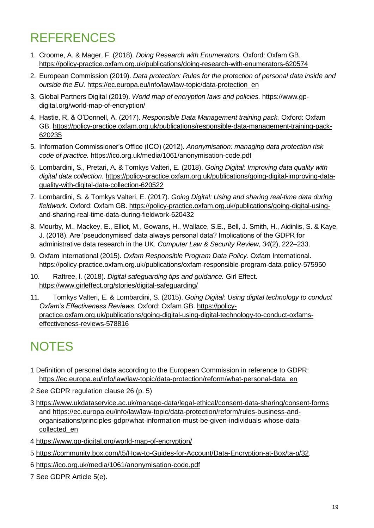## REFERENCES

- 1. Croome, A. & Mager, F. (2018). *Doing Research with Enumerators.* Oxford: Oxfam GB. <https://policy-practice.oxfam.org.uk/publications/doing-research-with-enumerators-620574>
- 2. European Commission (2019). *Data protection: Rules for the protection of personal data inside and outside the EU.* [https://ec.europa.eu/info/law/law-topic/data-protection\\_en](https://ec.europa.eu/info/law/law-topic/data-protection_en)
- 3. Global Partners Digital (2019). *World map of encryption laws and policies.* [https://www.gp](https://www.gp-digital.org/world-map-of-encryption/)[digital.org/world-map-of-encryption/](https://www.gp-digital.org/world-map-of-encryption/)
- 4. Hastie, R. & O'Donnell, A. (2017). *Responsible Data Management training pack.* Oxford: Oxfam GB. [https://policy-practice.oxfam.org.uk/publications/responsible-data-management-training-pack-](https://policy-practice.oxfam.org.uk/publications/responsible-data-management-training-pack-620235)[620235](https://policy-practice.oxfam.org.uk/publications/responsible-data-management-training-pack-620235)
- 5. Information Commissioner's Office (ICO) (2012). *Anonymisation: managing data protection risk code of practice.* <https://ico.org.uk/media/1061/anonymisation-code.pdf>
- 6. Lombardini, S., Pretari, A. & Tomkys Valteri, E. (2018). *Going Digital: Improving data quality with digital data collection.* [https://policy-practice.oxfam.org.uk/publications/going-digital-improving-data](https://policy-practice.oxfam.org.uk/publications/going-digital-improving-data-quality-with-digital-data-collection-620522)[quality-with-digital-data-collection-620522](https://policy-practice.oxfam.org.uk/publications/going-digital-improving-data-quality-with-digital-data-collection-620522)
- 7. Lombardini, S. & Tomkys Valteri, E. (2017). *Going Digital: Using and sharing real-time data during fieldwork.* Oxford: Oxfam GB. [https://policy-practice.oxfam.org.uk/publications/going-digital-using](https://policy-practice.oxfam.org.uk/publications/going-digital-using-and-sharing-real-time-data-during-fieldwork-620432)[and-sharing-real-time-data-during-fieldwork-620432](https://policy-practice.oxfam.org.uk/publications/going-digital-using-and-sharing-real-time-data-during-fieldwork-620432)
- 8. Mourby, M., Mackey, E., Elliot, M., Gowans, H., Wallace, S.E., Bell, J. Smith, H., Aidinlis, S. & Kaye, J. (2018). Are 'pseudonymised' data always personal data? Implications of the GDPR for administrative data research in the UK. *Computer Law & Security Review, 34*(2), 222–233.
- 9. Oxfam International (2015). *Oxfam Responsible Program Data Policy.* Oxfam International. <https://policy-practice.oxfam.org.uk/publications/oxfam-responsible-program-data-policy-575950>
- 10. Raftree, l. (2018). *Digital safeguarding tips and guidance.* Girl Effect. <https://www.girleffect.org/stories/digital-safeguarding/>
- 11. Tomkys Valteri, E. & Lombardini, S. (2015). *Going Digital: Using digital technology to conduct Oxfam's Effectiveness Reviews.* Oxford: Oxfam GB. [https://policy](https://policy-practice.oxfam.org.uk/publications/going-digital-using-digital-technology-to-conduct-oxfams-effectiveness-reviews-578816)[practice.oxfam.org.uk/publications/going-digital-using-digital-technology-to-conduct-oxfams](https://policy-practice.oxfam.org.uk/publications/going-digital-using-digital-technology-to-conduct-oxfams-effectiveness-reviews-578816)[effectiveness-reviews-578816](https://policy-practice.oxfam.org.uk/publications/going-digital-using-digital-technology-to-conduct-oxfams-effectiveness-reviews-578816)

## **NOTES**

- 1 Definition of personal data according to the European Commission in reference to GDPR: [https://ec.europa.eu/info/law/law-topic/data-protection/reform/what-personal-data\\_en](https://ec.europa.eu/info/law/law-topic/data-protection/reform/what-personal-data_en)
- 2 See GDPR regulation clause 26 (p. 5)
- 3 <https://www.ukdataservice.ac.uk/manage-data/legal-ethical/consent-data-sharing/consent-forms> and [https://ec.europa.eu/info/law/law-topic/data-protection/reform/rules-business-and](https://ec.europa.eu/info/law/law-topic/data-protection/reform/rules-business-and-organisations/principles-gdpr/what-information-must-be-given-individuals-whose-data-collected_en)[organisations/principles-gdpr/what-information-must-be-given-individuals-whose-data](https://ec.europa.eu/info/law/law-topic/data-protection/reform/rules-business-and-organisations/principles-gdpr/what-information-must-be-given-individuals-whose-data-collected_en)[collected\\_en](https://ec.europa.eu/info/law/law-topic/data-protection/reform/rules-business-and-organisations/principles-gdpr/what-information-must-be-given-individuals-whose-data-collected_en)
- 4 <https://www.gp-digital.org/world-map-of-encryption/>
- 5 [https://community.box.com/t5/How-to-Guides-for-Account/Data-Encryption-at-Box/ta-p/32.](https://community.box.com/t5/How-to-Guides-for-Account/Data-Encryption-at-Box/ta-p/32)
- 6 <https://ico.org.uk/media/1061/anonymisation-code.pdf>
- 7 See GDPR Article 5(e).